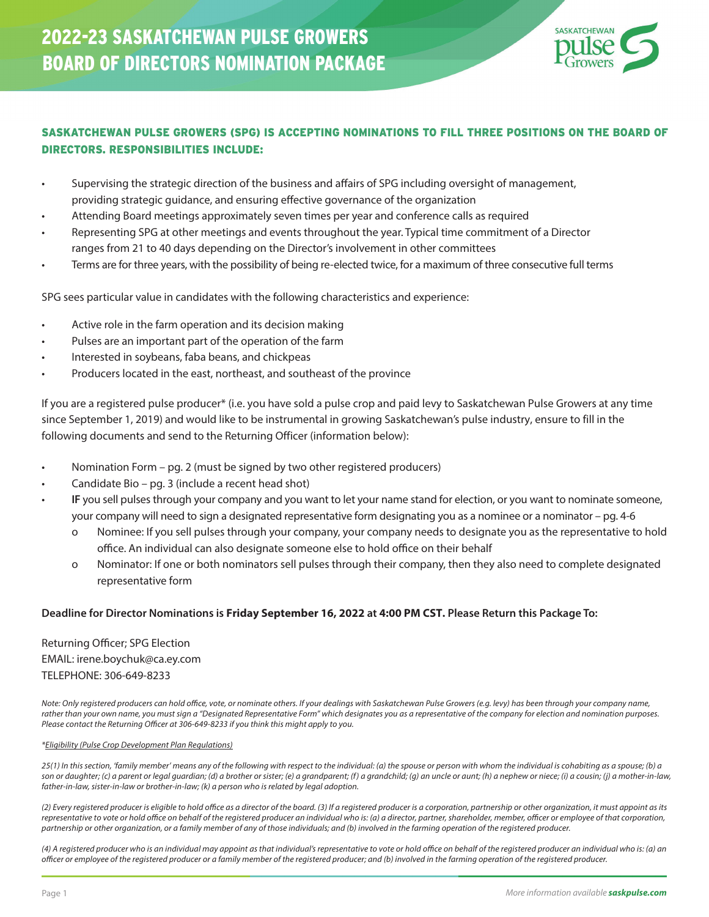

### SASKATCHEWAN PULSE GROWERS (SPG) IS ACCEPTING NOMINATIONS TO FILL THREE POSITIONS ON THE BOARD OF DIRECTORS. RESPONSIBILITIES INCLUDE:

- Supervising the strategic direction of the business and affairs of SPG including oversight of management, providing strategic guidance, and ensuring effective governance of the organization
- Attending Board meetings approximately seven times per year and conference calls as required
- Representing SPG at other meetings and events throughout the year. Typical time commitment of a Director ranges from 21 to 40 days depending on the Director's involvement in other committees
- Terms are for three years, with the possibility of being re-elected twice, for a maximum of three consecutive full terms

SPG sees particular value in candidates with the following characteristics and experience:

- Active role in the farm operation and its decision making
- Pulses are an important part of the operation of the farm
- Interested in soybeans, faba beans, and chickpeas
- Producers located in the east, northeast, and southeast of the province

If you are a registered pulse producer\* (i.e. you have sold a pulse crop and paid levy to Saskatchewan Pulse Growers at any time since September 1, 2019) and would like to be instrumental in growing Saskatchewan's pulse industry, ensure to fill in the following documents and send to the Returning Officer (information below):

- Nomination Form pg. 2 (must be signed by two other registered producers)
- Candidate Bio pg. 3 (include a recent head shot)
- **IF** you sell pulses through your company and you want to let your name stand for election, or you want to nominate someone, your company will need to sign a designated representative form designating you as a nominee or a nominator – pg. 4-6
	- o Nominee: If you sell pulses through your company, your company needs to designate you as the representative to hold office. An individual can also designate someone else to hold office on their behalf
	- o Nominator: If one or both nominators sell pulses through their company, then they also need to complete designated representative form

#### **Deadline for Director Nominations is Friday September 16, 2022 at 4:00 PM CST. Please Return this Package To:**

Returning Officer; SPG Election EMAIL: irene.boychuk@ca.ey.com TELEPHONE: 306-649-8233

*Note: Only registered producers can hold office, vote, or nominate others. If your dealings with Saskatchewan Pulse Growers (e.g. levy) has been through your company name, rather than your own name, you must sign a "Designated Representative Form" which designates you as a representative of the company for election and nomination purposes. Please contact the Returning Officer at 306-649-8233 if you think this might apply to you.*

#### *\*Eligibility (Pulse Crop Development Plan Regulations)*

*25(1) In this section, 'family member' means any of the following with respect to the individual: (a) the spouse or person with whom the individual is cohabiting as a spouse; (b) a son or daughter; (c) a parent or legal guardian; (d) a brother or sister; (e) a grandparent; (f) a grandchild; (g) an uncle or aunt; (h) a nephew or niece; (i) a cousin; (j) a mother-in-law, father-in-law, sister-in-law or brother-in-law; (k) a person who is related by legal adoption.*

*(2) Every registered producer is eligible to hold office as a director of the board. (3) If a registered producer is a corporation, partnership or other organization, it must appoint as its representative to vote or hold office on behalf of the registered producer an individual who is: (a) a director, partner, shareholder, member, officer or employee of that corporation, partnership or other organization, or a family member of any of those individuals; and (b) involved in the farming operation of the registered producer.*

*(4) A registered producer who is an individual may appoint as that individual's representative to vote or hold office on behalf of the registered producer an individual who is: (a) an officer or employee of the registered producer or a family member of the registered producer; and (b) involved in the farming operation of the registered producer.*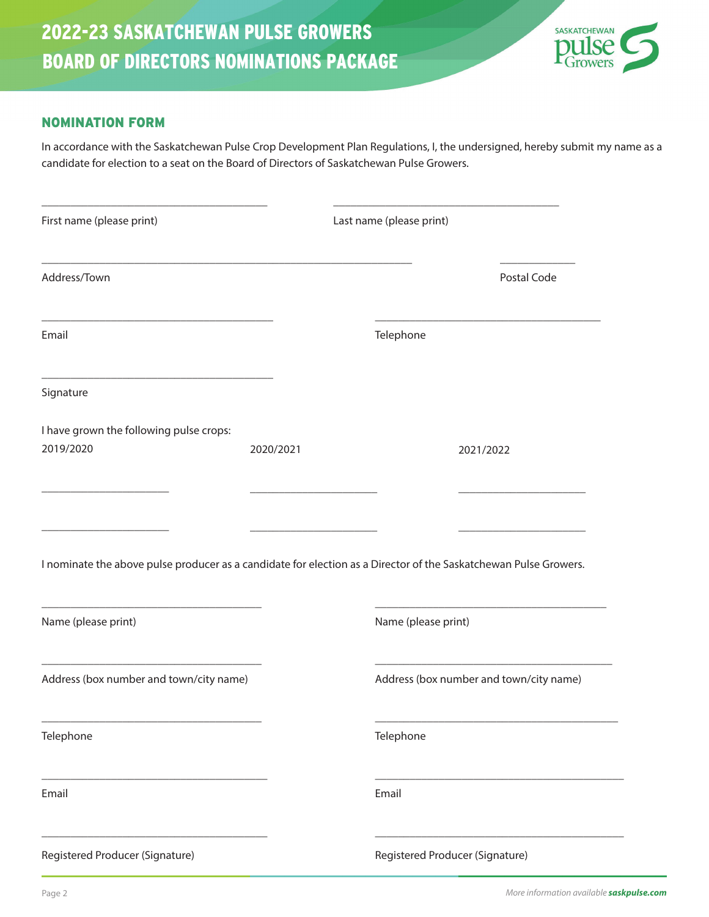

### NOMINATION FORM

In accordance with the Saskatchewan Pulse Crop Development Plan Regulations, I, the undersigned, hereby submit my name as a candidate for election to a seat on the Board of Directors of Saskatchewan Pulse Growers.

| First name (please print)                                                                                        |           | Last name (please print)                |             |
|------------------------------------------------------------------------------------------------------------------|-----------|-----------------------------------------|-------------|
| Address/Town                                                                                                     |           |                                         | Postal Code |
| Email                                                                                                            |           | Telephone                               |             |
| Signature                                                                                                        |           |                                         |             |
| I have grown the following pulse crops:                                                                          |           |                                         |             |
| 2019/2020                                                                                                        | 2020/2021 |                                         | 2021/2022   |
|                                                                                                                  |           |                                         |             |
|                                                                                                                  |           |                                         |             |
| I nominate the above pulse producer as a candidate for election as a Director of the Saskatchewan Pulse Growers. |           |                                         |             |
|                                                                                                                  |           |                                         |             |
| Name (please print)                                                                                              |           | Name (please print)                     |             |
| Address (box number and town/city name)                                                                          |           | Address (box number and town/city name) |             |
| Telephone                                                                                                        |           | Telephone                               |             |
| Email                                                                                                            |           | Email                                   |             |
| Registered Producer (Signature)                                                                                  |           | Registered Producer (Signature)         |             |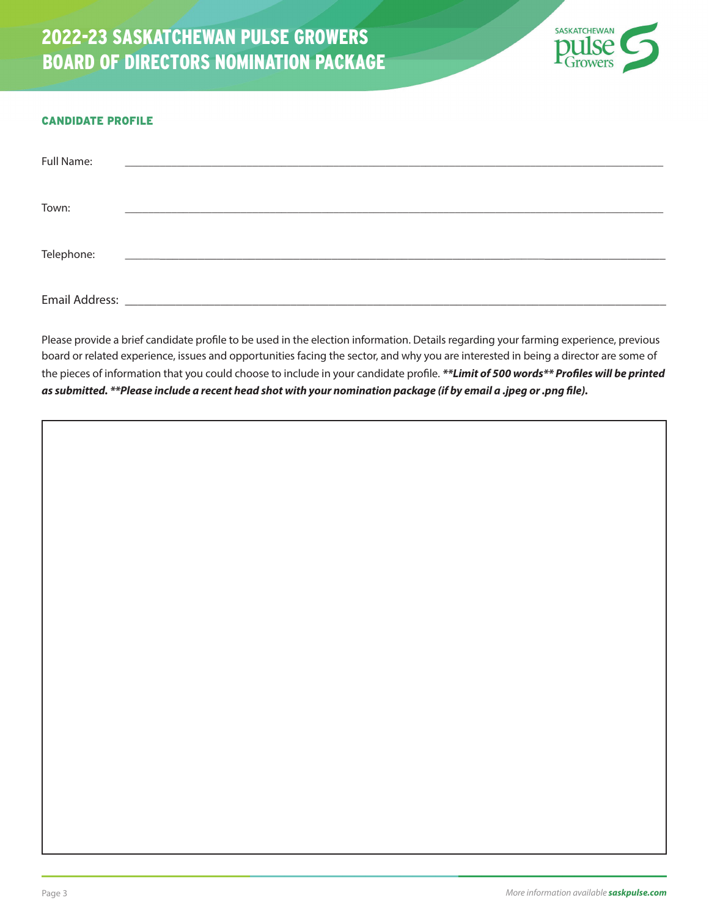

#### CANDIDATE PROFILE

| Full Name:     |  |
|----------------|--|
| Town:          |  |
| Telephone:     |  |
| Email Address: |  |

Please provide a brief candidate profile to be used in the election information. Details regarding your farming experience, previous board or related experience, issues and opportunities facing the sector, and why you are interested in being a director are some of the pieces of information that you could choose to include in your candidate profile. *\*\*Limit of 500 words\*\* Profiles will be printed as submitted. \*\*Please include a recent head shot with your nomination package (if by email a .jpeg or .png file).*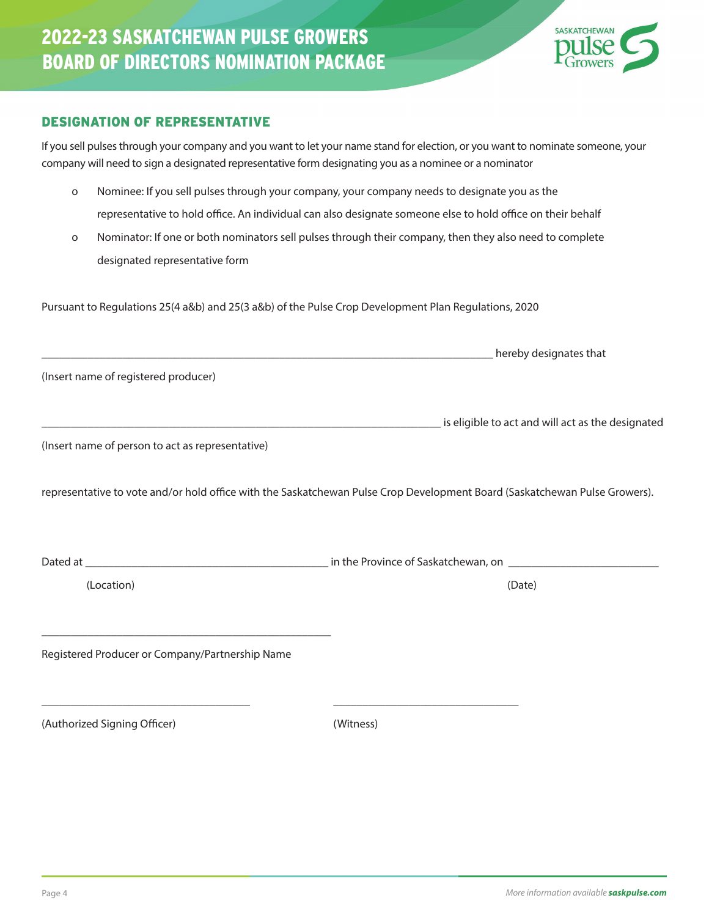# 2022-23 SASKATCHEWAN PULSE GROWERS BOARD OF DIRECTORS NOMINATION PACKAGE

### DESIGNATION OF REPRESENTATIVE

If you sell pulses through your company and you want to let your name stand for election, or you want to nominate someone, your company will need to sign a designated representative form designating you as a nominee or a nominator

- o Nominee: If you sell pulses through your company, your company needs to designate you as the representative to hold office. An individual can also designate someone else to hold office on their behalf
- o Nominator: If one or both nominators sell pulses through their company, then they also need to complete designated representative form

Pursuant to Regulations 25(4 a&b) and 25(3 a&b) of the Pulse Crop Development Plan Regulations, 2020

|                                                  | <b>Marine School Service Contract Contract Contract Contract Contract Contract Contract Contract Contract Contract</b>     |
|--------------------------------------------------|----------------------------------------------------------------------------------------------------------------------------|
| (Insert name of registered producer)             |                                                                                                                            |
|                                                  |                                                                                                                            |
| (Insert name of person to act as representative) |                                                                                                                            |
|                                                  | representative to vote and/or hold office with the Saskatchewan Pulse Crop Development Board (Saskatchewan Pulse Growers). |
|                                                  |                                                                                                                            |
| (Location)                                       | (Date)                                                                                                                     |
| Registered Producer or Company/Partnership Name  |                                                                                                                            |
| (Authorized Signing Officer)                     | (Witness)                                                                                                                  |

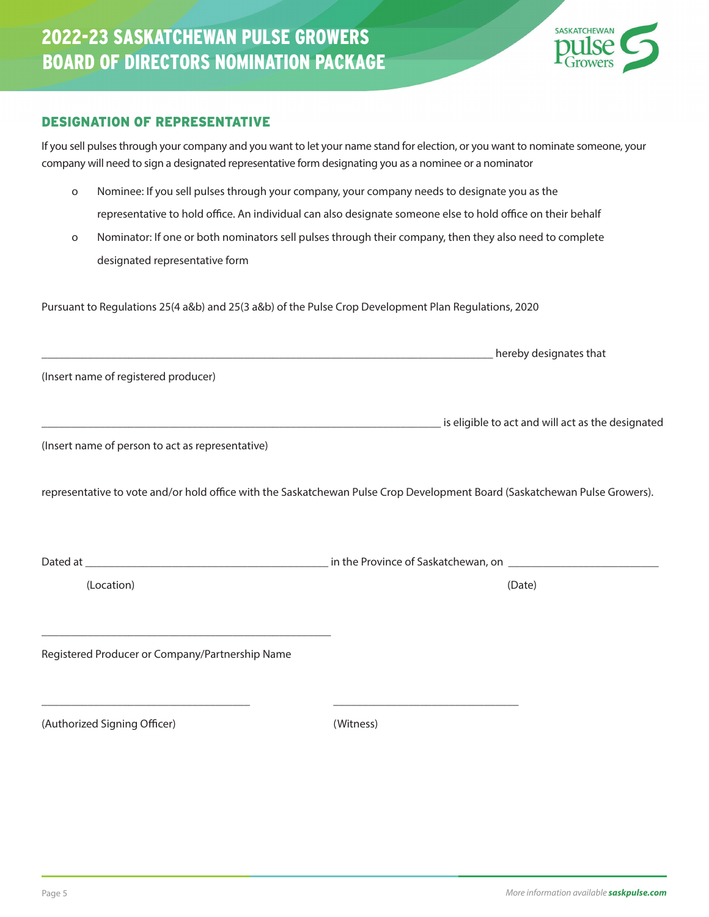# 2022-23 SASKATCHEWAN PULSE GROWERS BOARD OF DIRECTORS NOMINATION PACKAGE

### DESIGNATION OF REPRESENTATIVE

If you sell pulses through your company and you want to let your name stand for election, or you want to nominate someone, your company will need to sign a designated representative form designating you as a nominee or a nominator

- o Nominee: If you sell pulses through your company, your company needs to designate you as the representative to hold office. An individual can also designate someone else to hold office on their behalf
- o Nominator: If one or both nominators sell pulses through their company, then they also need to complete designated representative form

Pursuant to Regulations 25(4 a&b) and 25(3 a&b) of the Pulse Crop Development Plan Regulations, 2020

| (Insert name of registered producer)             |                                                                                                                                                                                                                                |
|--------------------------------------------------|--------------------------------------------------------------------------------------------------------------------------------------------------------------------------------------------------------------------------------|
|                                                  | is eligible to act and will act as the designated in the designated in the context of the designated in the designated of the designated of the designated of the designated of the designated of the designated of the design |
| (Insert name of person to act as representative) |                                                                                                                                                                                                                                |
|                                                  | representative to vote and/or hold office with the Saskatchewan Pulse Crop Development Board (Saskatchewan Pulse Growers).                                                                                                     |
| (Location)                                       | (Date)                                                                                                                                                                                                                         |
|                                                  |                                                                                                                                                                                                                                |
| Registered Producer or Company/Partnership Name  |                                                                                                                                                                                                                                |
| (Authorized Signing Officer)                     | (Witness)                                                                                                                                                                                                                      |